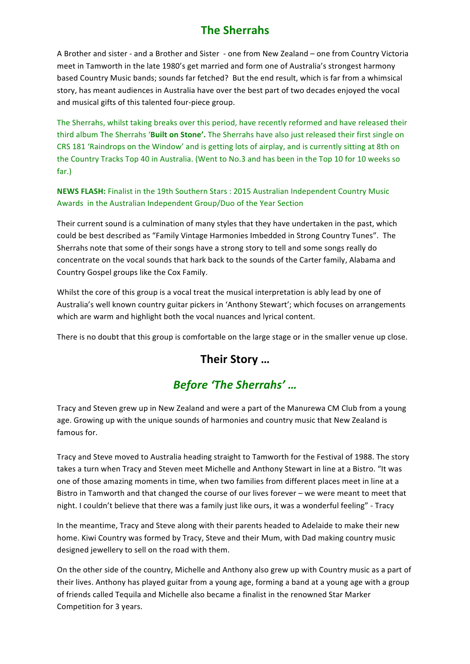#### **The Sherrahs**

A Brother and sister - and a Brother and Sister - one from New Zealand - one from Country Victoria meet in Tamworth in the late 1980's get married and form one of Australia's strongest harmony based Country Music bands; sounds far fetched? But the end result, which is far from a whimsical story, has meant audiences in Australia have over the best part of two decades enjoyed the vocal and musical gifts of this talented four-piece group.

The Sherrahs, whilst taking breaks over this period, have recently reformed and have released their third album The Sherrahs '**Built on Stone'.** The Sherrahs have also just released their first single on CRS 181 'Raindrops on the Window' and is getting lots of airplay, and is currently sitting at 8th on the Country Tracks Top 40 in Australia. (Went to No.3 and has been in the Top 10 for 10 weeks so far.)

**NEWS FLASH:** Finalist in the 19th Southern Stars : 2015 Australian Independent Country Music Awards in the Australian Independent Group/Duo of the Year Section

Their current sound is a culmination of many styles that they have undertaken in the past, which could be best described as "Family Vintage Harmonies Imbedded in Strong Country Tunes". The Sherrahs note that some of their songs have a strong story to tell and some songs really do concentrate on the vocal sounds that hark back to the sounds of the Carter family, Alabama and Country Gospel groups like the Cox Family.

Whilst the core of this group is a vocal treat the musical interpretation is ably lead by one of Australia's well known country guitar pickers in 'Anthony Stewart'; which focuses on arrangements which are warm and highlight both the vocal nuances and lyrical content.

There is no doubt that this group is comfortable on the large stage or in the smaller venue up close.

#### Their Story ...

# Before 'The Sherrahs' ...

Tracy and Steven grew up in New Zealand and were a part of the Manurewa CM Club from a young age. Growing up with the unique sounds of harmonies and country music that New Zealand is famous for.

Tracy and Steve moved to Australia heading straight to Tamworth for the Festival of 1988. The story takes a turn when Tracy and Steven meet Michelle and Anthony Stewart in line at a Bistro. "It was one of those amazing moments in time, when two families from different places meet in line at a Bistro in Tamworth and that changed the course of our lives forever – we were meant to meet that night. I couldn't believe that there was a family just like ours, it was a wonderful feeling" - Tracy

In the meantime, Tracy and Steve along with their parents headed to Adelaide to make their new home. Kiwi Country was formed by Tracy, Steve and their Mum, with Dad making country music designed jewellery to sell on the road with them.

On the other side of the country, Michelle and Anthony also grew up with Country music as a part of their lives. Anthony has played guitar from a young age, forming a band at a young age with a group of friends called Tequila and Michelle also became a finalist in the renowned Star Marker Competition for 3 years.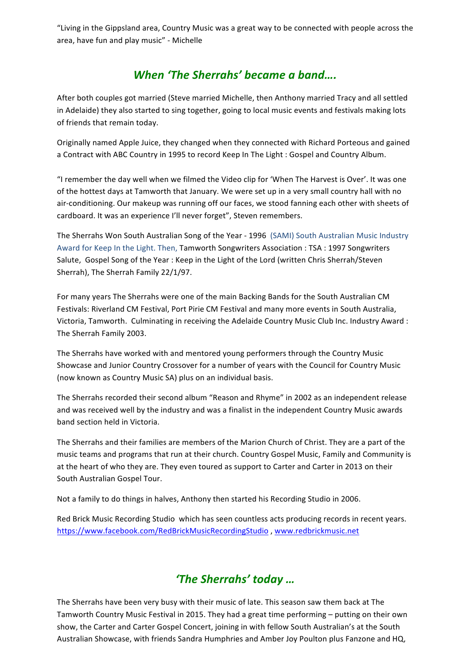"Living in the Gippsland area, Country Music was a great way to be connected with people across the area, have fun and play music" - Michelle

# *When 'The Sherrahs' became a band....*

After both couples got married (Steve married Michelle, then Anthony married Tracy and all settled in Adelaide) they also started to sing together, going to local music events and festivals making lots of friends that remain today.

Originally named Apple Juice, they changed when they connected with Richard Porteous and gained a Contract with ABC Country in 1995 to record Keep In The Light : Gospel and Country Album.

"I remember the day well when we filmed the Video clip for 'When The Harvest is Over'. It was one of the hottest days at Tamworth that January. We were set up in a very small country hall with no air-conditioning. Our makeup was running off our faces, we stood fanning each other with sheets of cardboard. It was an experience I'll never forget", Steven remembers.

The Sherrahs Won South Australian Song of the Year - 1996 (SAMI) South Australian Music Industry Award for Keep In the Light. Then, Tamworth Songwriters Association : TSA : 1997 Songwriters Salute, Gospel Song of the Year : Keep in the Light of the Lord (written Chris Sherrah/Steven Sherrah), The Sherrah Family 22/1/97.

For many years The Sherrahs were one of the main Backing Bands for the South Australian CM Festivals: Riverland CM Festival, Port Pirie CM Festival and many more events in South Australia, Victoria, Tamworth. Culminating in receiving the Adelaide Country Music Club Inc. Industry Award : The Sherrah Family 2003.

The Sherrahs have worked with and mentored young performers through the Country Music Showcase and Junior Country Crossover for a number of years with the Council for Country Music (now known as Country Music SA) plus on an individual basis.

The Sherrahs recorded their second album "Reason and Rhyme" in 2002 as an independent release and was received well by the industry and was a finalist in the independent Country Music awards band section held in Victoria.

The Sherrahs and their families are members of the Marion Church of Christ. They are a part of the music teams and programs that run at their church. Country Gospel Music, Family and Community is at the heart of who they are. They even toured as support to Carter and Carter in 2013 on their South Australian Gospel Tour.

Not a family to do things in halves, Anthony then started his Recording Studio in 2006.

Red Brick Music Recording Studio which has seen countless acts producing records in recent years. https://www.facebook.com/RedBrickMusicRecordingStudio , www.redbrickmusic.net

# *'The Sherrahs' today ...*

The Sherrahs have been very busy with their music of late. This season saw them back at The Tamworth Country Music Festival in 2015. They had a great time performing – putting on their own show, the Carter and Carter Gospel Concert, joining in with fellow South Australian's at the South Australian Showcase, with friends Sandra Humphries and Amber Joy Poulton plus Fanzone and HQ,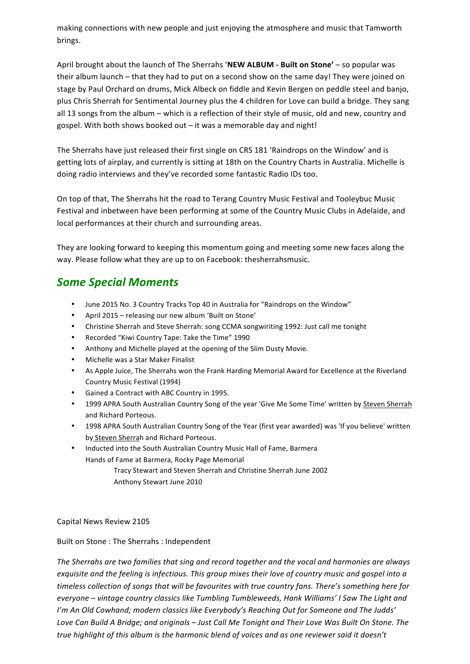making connections with new people and just enjoying the atmosphere and music that Tamworth brings.

April brought about the launch of The Sherrahs 'NEW ALBUM - Built on Stone' – so popular was their album launch – that they had to put on a second show on the same day! They were joined on stage by Paul Orchard on drums, Mick Albeck on fiddle and Kevin Bergen on peddle steel and banjo, plus Chris Sherrah for Sentimental Journey plus the 4 children for Love can build a bridge. They sang all 13 songs from the album – which is a reflection of their style of music, old and new, country and gospel. With both shows booked out  $-$  it was a memorable day and night!

The Sherrahs have just released their first single on CRS 181 'Raindrops on the Window' and is getting lots of airplay, and currently is sitting at 18th on the Country Charts in Australia. Michelle is doing radio interviews and they've recorded some fantastic Radio IDs too.

On top of that, The Sherrahs hit the road to Terang Country Music Festival and Tooleybuc Music Festival and inbetween have been performing at some of the Country Music Clubs in Adelaide, and local performances at their church and surrounding areas.

They are looking forward to keeping this momentum going and meeting some new faces along the way. Please follow what they are up to on Facebook: thesherrahsmusic.

#### *Some Special Moments*

- June 2015 No. 3 Country Tracks Top 40 in Australia for "Raindrops on the Window"
- April 2015 releasing our new album 'Built on Stone'
- Christine Sherrah and Steve Sherrah: song CCMA songwiriting 1992: Just call me tonight
- Recorded "Kiwi Country Tape: Take the Time" 1990
- Anthony and Michelle played at the opening of the Slim Dusty Movie.
- Michelle was a Star Maker Finalist
- As Apple Juice, The Sherrahs won the Frank Harding Memorial Award for Excellence at the Riverland Country Music Festival (1994)
- Gained a Contract with ABC Country in 1995.
- 1999 APRA South Australian Country Song of the year 'Give Me Some Time' written by Steven Sherrah and Richard Porteous.
- 1998 APRA South Australian Country Song of the Year (first year awarded) was 'If you believe' written by Steven Sherrah and Richard Porteous.
- Inducted into the South Australian Country Music Hall of Fame, Barmera Hands of Fame at Barmera, Rocky Page Memorial Tracy Stewart and Steven Sherrah and Christine Sherrah June 2002 Anthony Stewart June 2010

Capital News Review 2105

Built on Stone : The Sherrahs : Independent

The Sherrahs are two families that sing and record together and the vocal and harmonies are always *exquisite and the feeling is infectious. This group mixes their love of country music and gospel into a* timeless collection of songs that will be favourites with true country fans. There's something here for everyone – vintage country classics like Tumbling Tumbleweeds, Hank Williams' I Saw The Light and I'm An Old Cowhand; modern classics like Everybody's Reaching Out for Someone and The Judds' Love Can Build A Bridge; and originals - Just Call Me Tonight and Their Love Was Built On Stone. The *true* highlight of this album is the harmonic blend of voices and as one reviewer said it doesn't